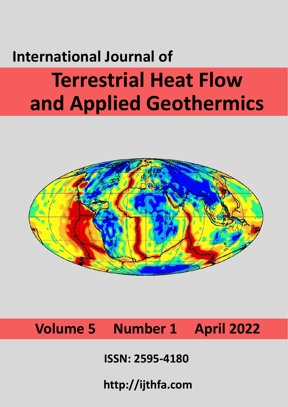# **International Journal of Terrestrial Heat Flow and Applied Geothermics**



**Volume 5 Number 1 April 2022**

**ISSN: 2595-4180**

**http://ijthfa.com**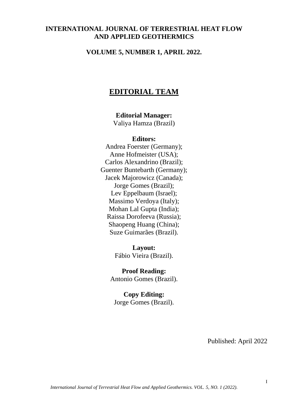### **INTERNATIONAL JOURNAL OF TERRESTRIAL HEAT FLOW AND APPLIED GEOTHERMICS**

#### **VOLUME 5, NUMBER 1, APRIL 2022.**

## **EDITORIAL TEAM**

## **Editorial Manager:**

Valiya Hamza (Brazil)

#### **Editors:**

Andrea Foerster (Germany); Anne Hofmeister (USA); Carlos Alexandrino (Brazil); Guenter Buntebarth (Germany); Jacek Majorowicz (Canada); Jorge Gomes (Brazil); Lev Eppelbaum (Israel); Massimo Verdoya (Italy); Mohan Lal Gupta (India); Raissa Dorofeeva (Russia); Shaopeng Huang (China); Suze Guimarães (Brazil).

> **Layout:** Fábio Vieira (Brazil).

**Proof Reading:** Antonio Gomes (Brazil).

**Copy Editing:** Jorge Gomes (Brazil).

Published: April 2022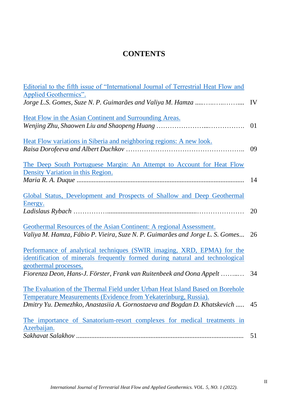## **CONTENTS**

| Editorial to the fifth issue of "International Journal of Terrestrial Heat Flow and                                                                     |    |
|---------------------------------------------------------------------------------------------------------------------------------------------------------|----|
| Applied Geothermics".                                                                                                                                   |    |
|                                                                                                                                                         |    |
| Heat Flow in the Asian Continent and Surrounding Areas.                                                                                                 |    |
|                                                                                                                                                         | 01 |
|                                                                                                                                                         |    |
| Heat Flow variations in Siberia and neighboring regions: A new look.                                                                                    | 09 |
|                                                                                                                                                         |    |
| The Deep South Portuguese Margin: An Attempt to Account for Heat Flow                                                                                   |    |
| Density Variation in this Region.                                                                                                                       | 14 |
|                                                                                                                                                         |    |
| Global Status, Development and Prospects of Shallow and Deep Geothermal<br>Energy.                                                                      |    |
|                                                                                                                                                         | 20 |
| Geothermal Resources of the Asian Continent: A regional Assessment.                                                                                     |    |
| Valiya M. Hamza, Fábio P. Vieira, Suze N. P. Guimarães and Jorge L. S. Gomes                                                                            | 26 |
|                                                                                                                                                         |    |
| Performance of analytical techniques (SWIR imaging, XRD, EPMA) for the<br>identification of minerals frequently formed during natural and technological |    |
| geothermal processes.                                                                                                                                   |    |
| Fiorenza Deon, Hans-J. Förster, Frank van Ruitenbeek and Oona Appelt  34                                                                                |    |
| The Evaluation of the Thermal Field under Urban Heat Island Based on Borehole                                                                           |    |
| Temperature Measurements (Evidence from Yekaterinburg, Russia).                                                                                         |    |
| Dmitry Yu. Demezhko, Anastasiia A. Gornostaeva and Bogdan D. Khatskevich                                                                                | 45 |
| The importance of Sanatorium-resort complexes for medical treatments in                                                                                 |    |
| Azerbaijan.                                                                                                                                             |    |
|                                                                                                                                                         | 51 |